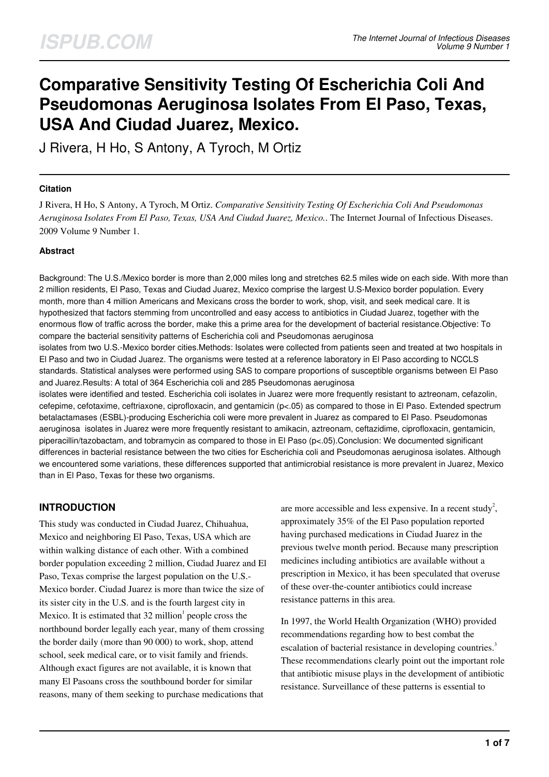# **Comparative Sensitivity Testing Of Escherichia Coli And Pseudomonas Aeruginosa Isolates From El Paso, Texas, USA And Ciudad Juarez, Mexico.**

J Rivera, H Ho, S Antony, A Tyroch, M Ortiz

#### **Citation**

J Rivera, H Ho, S Antony, A Tyroch, M Ortiz. *Comparative Sensitivity Testing Of Escherichia Coli And Pseudomonas Aeruginosa Isolates From El Paso, Texas, USA And Ciudad Juarez, Mexico.*. The Internet Journal of Infectious Diseases. 2009 Volume 9 Number 1.

#### **Abstract**

Background: The U.S./Mexico border is more than 2,000 miles long and stretches 62.5 miles wide on each side. With more than 2 million residents, El Paso, Texas and Ciudad Juarez, Mexico comprise the largest U.S-Mexico border population. Every month, more than 4 million Americans and Mexicans cross the border to work, shop, visit, and seek medical care. It is hypothesized that factors stemming from uncontrolled and easy access to antibiotics in Ciudad Juarez, together with the enormous flow of traffic across the border, make this a prime area for the development of bacterial resistance.Objective: To compare the bacterial sensitivity patterns of Escherichia coli and Pseudomonas aeruginosa

isolates from two U.S.-Mexico border cities.Methods: Isolates were collected from patients seen and treated at two hospitals in El Paso and two in Ciudad Juarez. The organisms were tested at a reference laboratory in El Paso according to NCCLS standards. Statistical analyses were performed using SAS to compare proportions of susceptible organisms between El Paso and Juarez.Results: A total of 364 Escherichia coli and 285 Pseudomonas aeruginosa

isolates were identified and tested. Escherichia coli isolates in Juarez were more frequently resistant to aztreonam, cefazolin, cefepime, cefotaxime, ceftriaxone, ciprofloxacin, and gentamicin (p<.05) as compared to those in El Paso. Extended spectrum betalactamases (ESBL)-producing Escherichia coli were more prevalent in Juarez as compared to El Paso. Pseudomonas aeruginosa isolates in Juarez were more frequently resistant to amikacin, aztreonam, ceftazidime, ciprofloxacin, gentamicin, piperacillin/tazobactam, and tobramycin as compared to those in El Paso (p<.05).Conclusion: We documented significant differences in bacterial resistance between the two cities for Escherichia coli and Pseudomonas aeruginosa isolates. Although we encountered some variations, these differences supported that antimicrobial resistance is more prevalent in Juarez, Mexico than in El Paso, Texas for these two organisms.

# **INTRODUCTION**

This study was conducted in Ciudad Juarez, Chihuahua, Mexico and neighboring El Paso, Texas, USA which are within walking distance of each other. With a combined border population exceeding 2 million, Ciudad Juarez and El Paso, Texas comprise the largest population on the U.S.- Mexico border. Ciudad Juarez is more than twice the size of its sister city in the U.S. and is the fourth largest city in Mexico. It is estimated that  $32$  million<sup>1</sup> people cross the northbound border legally each year, many of them crossing the border daily (more than 90 000) to work, shop, attend school, seek medical care, or to visit family and friends. Although exact figures are not available, it is known that many El Pasoans cross the southbound border for similar reasons, many of them seeking to purchase medications that

are more accessible and less expensive. In a recent study<sup>2</sup>, approximately 35% of the El Paso population reported having purchased medications in Ciudad Juarez in the previous twelve month period. Because many prescription medicines including antibiotics are available without a prescription in Mexico, it has been speculated that overuse of these over-the-counter antibiotics could increase resistance patterns in this area.

In 1997, the World Health Organization (WHO) provided recommendations regarding how to best combat the escalation of bacterial resistance in developing countries.<sup>3</sup> These recommendations clearly point out the important role that antibiotic misuse plays in the development of antibiotic resistance. Surveillance of these patterns is essential to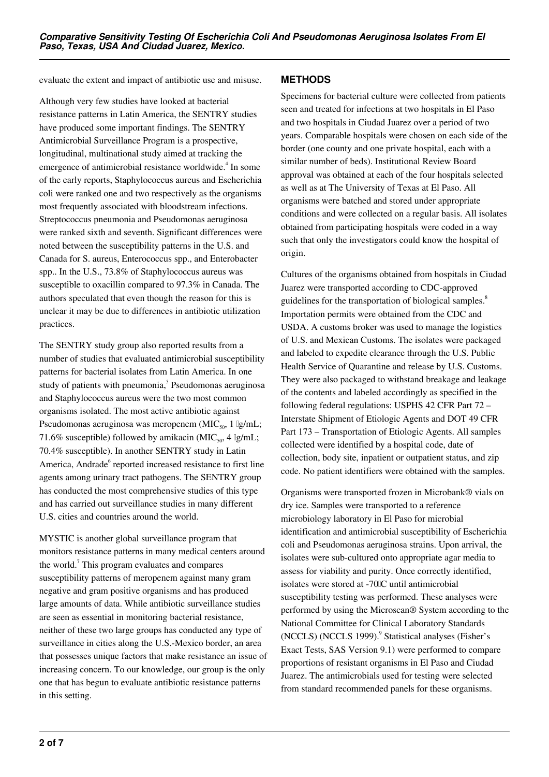evaluate the extent and impact of antibiotic use and misuse.

Although very few studies have looked at bacterial resistance patterns in Latin America, the SENTRY studies have produced some important findings. The SENTRY Antimicrobial Surveillance Program is a prospective, longitudinal, multinational study aimed at tracking the emergence of antimicrobial resistance worldwide.<sup>4</sup> In some of the early reports, Staphylococcus aureus and Escherichia coli were ranked one and two respectively as the organisms most frequently associated with bloodstream infections. Streptococcus pneumonia and Pseudomonas aeruginosa were ranked sixth and seventh. Significant differences were noted between the susceptibility patterns in the U.S. and Canada for S. aureus, Enterococcus spp., and Enterobacter spp.. In the U.S., 73.8% of Staphylococcus aureus was susceptible to oxacillin compared to 97.3% in Canada. The authors speculated that even though the reason for this is unclear it may be due to differences in antibiotic utilization practices.

The SENTRY study group also reported results from a number of studies that evaluated antimicrobial susceptibility patterns for bacterial isolates from Latin America. In one study of patients with pneumonia,<sup>5</sup> Pseudomonas aeruginosa and Staphylococcus aureus were the two most common organisms isolated. The most active antibiotic against Pseudomonas aeruginosa was meropenem (MIC $_{50}$ , 1 [g/mL; 71.6% susceptible) followed by amikacin (MIC<sub>50</sub>, 4  $\lg$ /mL; 70.4% susceptible). In another SENTRY study in Latin America, Andrade<sup>6</sup> reported increased resistance to first line agents among urinary tract pathogens. The SENTRY group has conducted the most comprehensive studies of this type and has carried out surveillance studies in many different U.S. cities and countries around the world.

MYSTIC is another global surveillance program that monitors resistance patterns in many medical centers around the world.<sup>7</sup> This program evaluates and compares susceptibility patterns of meropenem against many gram negative and gram positive organisms and has produced large amounts of data. While antibiotic surveillance studies are seen as essential in monitoring bacterial resistance, neither of these two large groups has conducted any type of surveillance in cities along the U.S.-Mexico border, an area that possesses unique factors that make resistance an issue of increasing concern. To our knowledge, our group is the only one that has begun to evaluate antibiotic resistance patterns in this setting.

## **METHODS**

Specimens for bacterial culture were collected from patients seen and treated for infections at two hospitals in El Paso and two hospitals in Ciudad Juarez over a period of two years. Comparable hospitals were chosen on each side of the border (one county and one private hospital, each with a similar number of beds). Institutional Review Board approval was obtained at each of the four hospitals selected as well as at The University of Texas at El Paso. All organisms were batched and stored under appropriate conditions and were collected on a regular basis. All isolates obtained from participating hospitals were coded in a way such that only the investigators could know the hospital of origin.

Cultures of the organisms obtained from hospitals in Ciudad Juarez were transported according to CDC-approved guidelines for the transportation of biological samples.<sup>8</sup> Importation permits were obtained from the CDC and USDA. A customs broker was used to manage the logistics of U.S. and Mexican Customs. The isolates were packaged and labeled to expedite clearance through the U.S. Public Health Service of Quarantine and release by U.S. Customs. They were also packaged to withstand breakage and leakage of the contents and labeled accordingly as specified in the following federal regulations: USPHS 42 CFR Part 72 – Interstate Shipment of Etiologic Agents and DOT 49 CFR Part 173 – Transportation of Etiologic Agents. All samples collected were identified by a hospital code, date of collection, body site, inpatient or outpatient status, and zip code. No patient identifiers were obtained with the samples.

Organisms were transported frozen in Microbank® vials on dry ice. Samples were transported to a reference microbiology laboratory in El Paso for microbial identification and antimicrobial susceptibility of Escherichia coli and Pseudomonas aeruginosa strains. Upon arrival, the isolates were sub-cultured onto appropriate agar media to assess for viability and purity. Once correctly identified, isolates were stored at -70C until antimicrobial susceptibility testing was performed. These analyses were performed by using the Microscan® System according to the National Committee for Clinical Laboratory Standards (NCCLS) (NCCLS 1999).<sup>9</sup> Statistical analyses (Fisher's Exact Tests, SAS Version 9.1) were performed to compare proportions of resistant organisms in El Paso and Ciudad Juarez. The antimicrobials used for testing were selected from standard recommended panels for these organisms.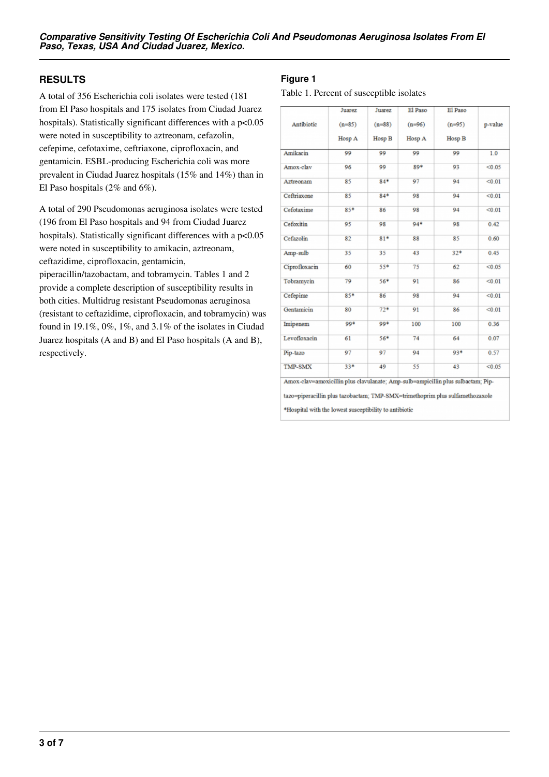# **RESULTS**

A total of 356 Escherichia coli isolates were tested (181 from El Paso hospitals and 175 isolates from Ciudad Juarez hospitals). Statistically significant differences with a p<0.05 were noted in susceptibility to aztreonam, cefazolin, cefepime, cefotaxime, ceftriaxone, ciprofloxacin, and gentamicin. ESBL-producing Escherichia coli was more prevalent in Ciudad Juarez hospitals (15% and 14%) than in El Paso hospitals (2% and 6%).

A total of 290 Pseudomonas aeruginosa isolates were tested (196 from El Paso hospitals and 94 from Ciudad Juarez hospitals). Statistically significant differences with a p<0.05 were noted in susceptibility to amikacin, aztreonam, ceftazidime, ciprofloxacin, gentamicin,

piperacillin/tazobactam, and tobramycin. Tables 1 and 2 provide a complete description of susceptibility results in both cities. Multidrug resistant Pseudomonas aeruginosa (resistant to ceftazidime, ciprofloxacin, and tobramycin) was found in 19.1%, 0%, 1%, and 3.1% of the isolates in Ciudad Juarez hospitals (A and B) and El Paso hospitals (A and B), respectively.

# **Figure 1**

Table 1. Percent of susceptible isolates

|                | Juarez             | Juarez             | El Paso            | El Paso            |         |
|----------------|--------------------|--------------------|--------------------|--------------------|---------|
| Antibiotic     | $(n=85)$<br>Hosp A | $(n=88)$<br>Hosp B | $(n=96)$<br>Hosp A | $(n=95)$<br>Hosp B | p-value |
|                |                    |                    |                    |                    |         |
| Amox-clav      | 96                 | 99                 | $89*$              | 93                 | < 0.05  |
| Aztreonam      | 85                 | $84*$              | 97                 | 94                 | < 0.01  |
| Ceftriaxone    | 85                 | $84*$              | 98                 | 94                 | < 0.01  |
| Cefotaxime     | 85*                | 86                 | 98                 | 94                 | < 0.01  |
| Cefoxitin      | 95                 | 98                 | 94*                | 98                 | 0.42    |
| Cefazolin      | 82                 | $81*$              | 88                 | 85                 | 0.60    |
| Amp-sulb       | 35                 | 35                 | 43                 | $32*$              | 0.45    |
| Ciprofloxacin  | 60                 | 55*                | 75                 | 62                 | < 0.05  |
| Tobramycin     | 79                 | 56*                | 91                 | 86                 | < 0.01  |
| Cefepime       | 85*                | 86                 | 98                 | 94                 | < 0.01  |
| Gentamicin     | 80                 | $72*$              | 91                 | 86                 | < 0.01  |
| Imipenem       | 99*                | 99*                | 100                | 100                | 0.36    |
| Levofloxacin   | 61                 | 56*                | 74                 | 64                 | 0.07    |
| Pip-tazo       | 97                 | 97                 | 94                 | 93*                | 0.57    |
| <b>TMP-SMX</b> | $33*$              | 49                 | 55                 | 43                 | < 0.05  |

\*Hospital with the lowest susceptibility to antibiotic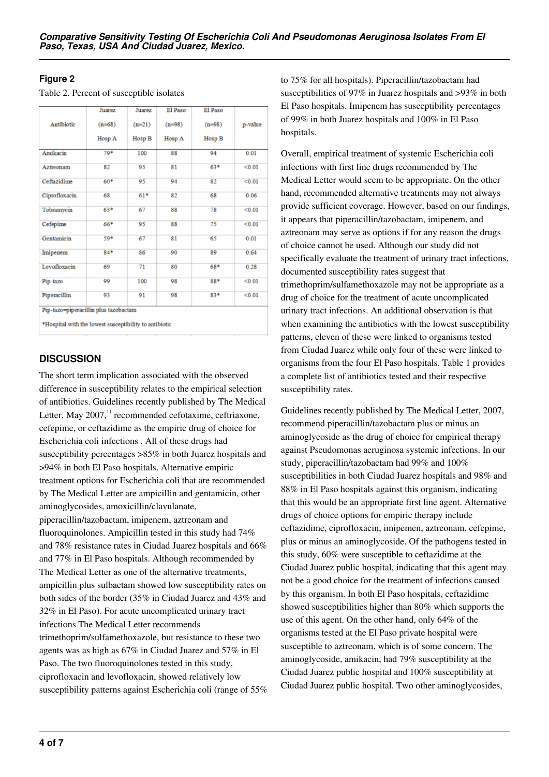## **Figure 2**

|               | Juarez             | Juarez             | El Paso            | El Paso            |         |
|---------------|--------------------|--------------------|--------------------|--------------------|---------|
| Antibiotic    | $(n=68)$<br>Hosp A | $(n=21)$<br>Hosp B | $(n=98)$<br>Hosp A | $(n=98)$<br>Hosp B | p-value |
|               |                    |                    |                    |                    |         |
| Aztreonam     | 82                 | 95                 | 81                 | $63*$              | < 0.01  |
| Ceftazidime   | 60*                | 95                 | 94                 | 82                 | < 0.01  |
| Ciprofloxacin | 68                 | $61*$              | 82                 | 68                 | 0.06    |
| Tobramycin    | 63*                | 67                 | 88                 | 78                 | < 0.01  |
| Cefepime      | 66*                | 95                 | 88                 | 75                 | < 0.01  |
| Gentamicin    | 59*                | 67                 | 81                 | 65                 | 0.01    |
| Imipenem      | $84*$              | 86                 | 90                 | 89                 | 0.64    |
| Levofloxacin  | 69                 | 71                 | 80                 | $68*$              | 0.28    |
| Pip-tazo      | 99                 | 100                | 98                 | $88*$              | < 0.01  |
| Piperacillin  | 93                 | 91                 | 98                 | $83*$              | < 0.01  |

\*Hospital with the lowest susceptibility to antibiotic

## **DISCUSSION**

The short term implication associated with the observed difference in susceptibility relates to the empirical selection of antibiotics. Guidelines recently published by The Medical Letter, May  $2007$ ,<sup>11</sup> recommended cefotaxime, ceftriaxone, cefepime, or ceftazidime as the empiric drug of choice for Escherichia coli infections . All of these drugs had susceptibility percentages >85% in both Juarez hospitals and >94% in both El Paso hospitals. Alternative empiric treatment options for Escherichia coli that are recommended by The Medical Letter are ampicillin and gentamicin, other aminoglycosides, amoxicillin/clavulanate, piperacillin/tazobactam, imipenem, aztreonam and fluoroquinolones. Ampicillin tested in this study had 74% and 78% resistance rates in Ciudad Juarez hospitals and 66% and 77% in El Paso hospitals. Although recommended by The Medical Letter as one of the alternative treatments, ampicillin plus sulbactam showed low susceptibility rates on both sides of the border (35% in Ciudad Juarez and 43% and 32% in El Paso). For acute uncomplicated urinary tract infections The Medical Letter recommends trimethoprim/sulfamethoxazole, but resistance to these two agents was as high as 67% in Ciudad Juarez and 57% in El Paso. The two fluoroquinolones tested in this study, ciprofloxacin and levofloxacin, showed relatively low susceptibility patterns against Escherichia coli (range of 55% to 75% for all hospitals). Piperacillin/tazobactam had susceptibilities of 97% in Juarez hospitals and >93% in both El Paso hospitals. Imipenem has susceptibility percentages of 99% in both Juarez hospitals and 100% in El Paso hospitals.

Overall, empirical treatment of systemic Escherichia coli infections with first line drugs recommended by The Medical Letter would seem to be appropriate. On the other hand, recommended alternative treatments may not always provide sufficient coverage. However, based on our findings, it appears that piperacillin/tazobactam, imipenem, and aztreonam may serve as options if for any reason the drugs of choice cannot be used. Although our study did not specifically evaluate the treatment of urinary tract infections, documented susceptibility rates suggest that trimethoprim/sulfamethoxazole may not be appropriate as a drug of choice for the treatment of acute uncomplicated urinary tract infections. An additional observation is that when examining the antibiotics with the lowest susceptibility patterns, eleven of these were linked to organisms tested from Ciudad Juarez while only four of these were linked to organisms from the four El Paso hospitals. Table 1 provides a complete list of antibiotics tested and their respective susceptibility rates.

Guidelines recently published by The Medical Letter, 2007, recommend piperacillin/tazobactam plus or minus an aminoglycoside as the drug of choice for empirical therapy against Pseudomonas aeruginosa systemic infections. In our study, piperacillin/tazobactam had 99% and 100% susceptibilities in both Ciudad Juarez hospitals and 98% and 88% in El Paso hospitals against this organism, indicating that this would be an appropriate first line agent. Alternative drugs of choice options for empiric therapy include ceftazidime, ciprofloxacin, imipemen, aztreonam, cefepime, plus or minus an aminoglycoside. Of the pathogens tested in this study, 60% were susceptible to ceftazidime at the Ciudad Juarez public hospital, indicating that this agent may not be a good choice for the treatment of infections caused by this organism. In both El Paso hospitals, ceftazidime showed susceptibilities higher than 80% which supports the use of this agent. On the other hand, only 64% of the organisms tested at the El Paso private hospital were susceptible to aztreonam, which is of some concern. The aminoglycoside, amikacin, had 79% susceptibility at the Ciudad Juarez public hospital and 100% susceptibility at Ciudad Juarez public hospital. Two other aminoglycosides,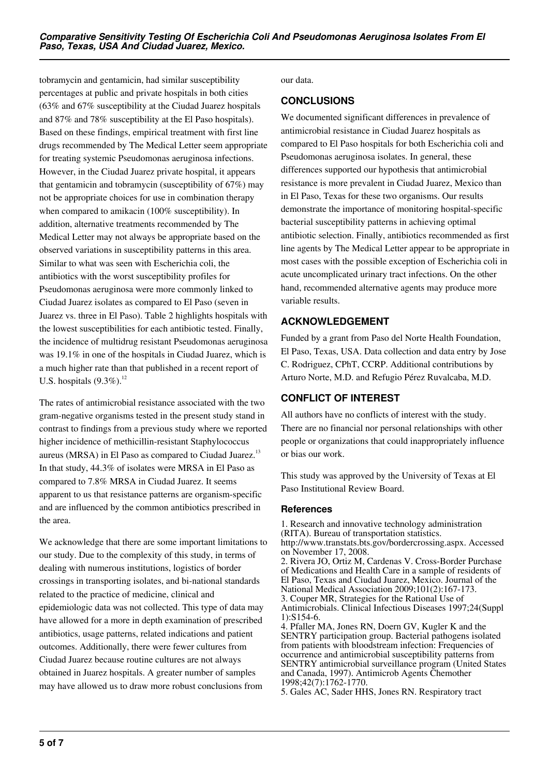tobramycin and gentamicin, had similar susceptibility percentages at public and private hospitals in both cities (63% and 67% susceptibility at the Ciudad Juarez hospitals and 87% and 78% susceptibility at the El Paso hospitals). Based on these findings, empirical treatment with first line drugs recommended by The Medical Letter seem appropriate for treating systemic Pseudomonas aeruginosa infections. However, in the Ciudad Juarez private hospital, it appears that gentamicin and tobramycin (susceptibility of 67%) may not be appropriate choices for use in combination therapy when compared to amikacin (100% susceptibility). In addition, alternative treatments recommended by The Medical Letter may not always be appropriate based on the observed variations in susceptibility patterns in this area. Similar to what was seen with Escherichia coli, the antibiotics with the worst susceptibility profiles for Pseudomonas aeruginosa were more commonly linked to Ciudad Juarez isolates as compared to El Paso (seven in Juarez vs. three in El Paso). Table 2 highlights hospitals with the lowest susceptibilities for each antibiotic tested. Finally, the incidence of multidrug resistant Pseudomonas aeruginosa was 19.1% in one of the hospitals in Ciudad Juarez, which is a much higher rate than that published in a recent report of U.S. hospitals  $(9.3\%)$ .<sup>12</sup>

The rates of antimicrobial resistance associated with the two gram-negative organisms tested in the present study stand in contrast to findings from a previous study where we reported higher incidence of methicillin-resistant Staphylococcus aureus (MRSA) in El Paso as compared to Ciudad Juarez.<sup>13</sup> In that study, 44.3% of isolates were MRSA in El Paso as compared to 7.8% MRSA in Ciudad Juarez. It seems apparent to us that resistance patterns are organism-specific and are influenced by the common antibiotics prescribed in the area.

We acknowledge that there are some important limitations to our study. Due to the complexity of this study, in terms of dealing with numerous institutions, logistics of border crossings in transporting isolates, and bi-national standards related to the practice of medicine, clinical and epidemiologic data was not collected. This type of data may have allowed for a more in depth examination of prescribed antibiotics, usage patterns, related indications and patient outcomes. Additionally, there were fewer cultures from Ciudad Juarez because routine cultures are not always obtained in Juarez hospitals. A greater number of samples may have allowed us to draw more robust conclusions from

our data.

#### **CONCLUSIONS**

We documented significant differences in prevalence of antimicrobial resistance in Ciudad Juarez hospitals as compared to El Paso hospitals for both Escherichia coli and Pseudomonas aeruginosa isolates. In general, these differences supported our hypothesis that antimicrobial resistance is more prevalent in Ciudad Juarez, Mexico than in El Paso, Texas for these two organisms. Our results demonstrate the importance of monitoring hospital-specific bacterial susceptibility patterns in achieving optimal antibiotic selection. Finally, antibiotics recommended as first line agents by The Medical Letter appear to be appropriate in most cases with the possible exception of Escherichia coli in acute uncomplicated urinary tract infections. On the other hand, recommended alternative agents may produce more variable results.

## **ACKNOWLEDGEMENT**

Funded by a grant from Paso del Norte Health Foundation, El Paso, Texas, USA. Data collection and data entry by Jose C. Rodriguez, CPhT, CCRP. Additional contributions by Arturo Norte, M.D. and Refugio Pérez Ruvalcaba, M.D.

# **CONFLICT OF INTEREST**

All authors have no conflicts of interest with the study. There are no financial nor personal relationships with other people or organizations that could inappropriately influence or bias our work.

This study was approved by the University of Texas at El Paso Institutional Review Board.

## **References**

1. Research and innovative technology administration (RITA). Bureau of transportation statistics. http://www.transtats.bts.gov/bordercrossing.aspx. Accessed on November 17, 2008. 2. Rivera JO, Ortiz M, Cardenas V. Cross-Border Purchase of Medications and Health Care in a sample of residents of El Paso, Texas and Ciudad Juarez, Mexico. Journal of the National Medical Association 2009;101(2):167-173. 3. Couper MR, Strategies for the Rational Use of Antimicrobials. Clinical Infectious Diseases 1997;24(Suppl 1):S154-6. 4. Pfaller MA, Jones RN, Doern GV, Kugler K and the SENTRY participation group. Bacterial pathogens isolated from patients with bloodstream infection: Frequencies of occurrence and antimicrobial susceptibility patterns from SENTRY antimicrobial surveillance program (United States and Canada, 1997). Antimicrob Agents Chemother 1998;42(7):1762-1770.

5. Gales AC, Sader HHS, Jones RN. Respiratory tract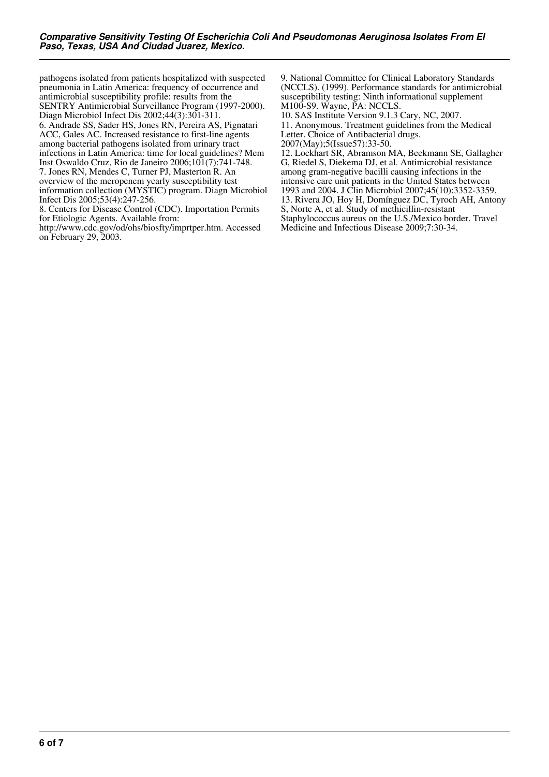pathogens isolated from patients hospitalized with suspected pneumonia in Latin America: frequency of occurrence and antimicrobial susceptibility profile: results from the SENTRY Antimicrobial Surveillance Program (1997-2000). Diagn Microbiol Infect Dis 2002;44(3):301-311. 6. Andrade SS, Sader HS, Jones RN, Pereira AS, Pignatari ACC, Gales AC. Increased resistance to first-line agents among bacterial pathogens isolated from urinary tract infections in Latin America: time for local guidelines? Mem Inst Oswaldo Cruz, Rio de Janeiro 2006;101(7):741-748. 7. Jones RN, Mendes C, Turner PJ, Masterton R. An overview of the meropenem yearly susceptibility test information collection (MYSTIC) program. Diagn Microbiol Infect Dis 2005;53(4):247-256.

8. Centers for Disease Control (CDC). Importation Permits for Etiologic Agents. Available from:

http://www.cdc.gov/od/ohs/biosfty/imprtper.htm. Accessed on February 29, 2003.

9. National Committee for Clinical Laboratory Standards (NCCLS). (1999). Performance standards for antimicrobial susceptibility testing: Ninth informational supplement M100-S9. Wayne, PA: NCCLS.

10. SAS Institute Version 9.1.3 Cary, NC, 2007. 11. Anonymous. Treatment guidelines from the Medical Letter. Choice of Antibacterial drugs. 2007(May);5(Issue57):33-50.

12. Lockhart SR, Abramson MA, Beekmann SE, Gallagher G, Riedel S, Diekema DJ, et al. Antimicrobial resistance among gram-negative bacilli causing infections in the intensive care unit patients in the United States between

1993 and 2004. J Clin Microbiol 2007;45(10):3352-3359. 13. Rivera JO, Hoy H, Domínguez DC, Tyroch AH, Antony

- 
- S, Norte A, et al. Study of methicillin-resistant

Staphylococcus aureus on the U.S./Mexico border. Travel Medicine and Infectious Disease 2009;7:30-34.